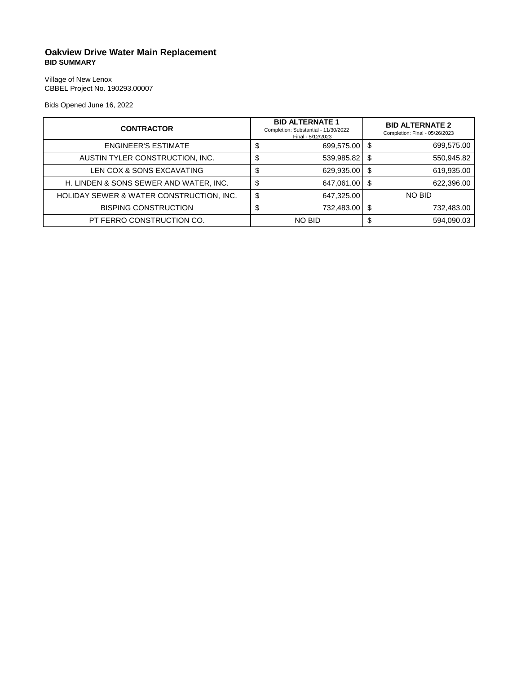## **Oakview Drive Water Main Replacement BID SUMMARY**

Village of New Lenox CBBEL Project No. 190293.00007

Bids Opened June 16, 2022

| <b>CONTRACTOR</b>                        |      | <b>BID ALTERNATE 1</b><br>Completion: Substantial - 11/30/2022<br>Final - 5/12/2023 |      | <b>BID ALTERNATE 2</b><br>Completion: Final - 05/26/2023 |
|------------------------------------------|------|-------------------------------------------------------------------------------------|------|----------------------------------------------------------|
| <b>ENGINEER'S ESTIMATE</b>               | Φ    | 699,575.00 \$                                                                       |      | 699,575.00                                               |
| AUSTIN TYLER CONSTRUCTION, INC.          |      | 539,985.82                                                                          | - \$ | 550,945.82                                               |
| LEN COX & SONS EXCAVATING                | J    | 629,935.00                                                                          | - \$ | 619,935.00                                               |
| H. LINDEN & SONS SEWER AND WATER, INC.   | \$   | 647,061.00 \$                                                                       |      | 622,396.00                                               |
| HOLIDAY SEWER & WATER CONSTRUCTION, INC. | \$   | 647,325.00                                                                          |      | NO BID                                                   |
| <b>BISPING CONSTRUCTION</b>              | - 10 | 732,483.00                                                                          | - \$ | 732,483.00                                               |
| PT FERRO CONSTRUCTION CO.                |      | <b>NO BID</b>                                                                       | \$   | 594,090.03                                               |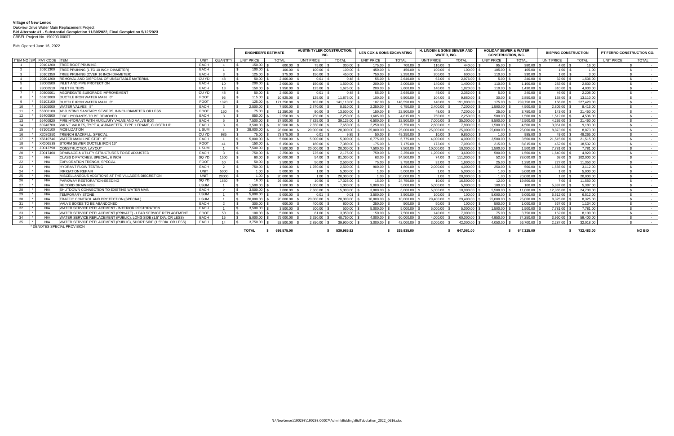## **Village of New Lenox** Oakview Drive Water Main Replacement Project **Bid Alternate #1 - Substantial Completion 11/30/2022, Final Completion 5/12/2023**

**CBBEL Project No. 190293.00007** 

|                                                            | Bids Opened June 16, 2022                                                |                   |                |                            |                                          |                    |                                      |                     |                                                            |                     |                                                               |                    |                             |                   |                           |  |               |
|------------------------------------------------------------|--------------------------------------------------------------------------|-------------------|----------------|----------------------------|------------------------------------------|--------------------|--------------------------------------|---------------------|------------------------------------------------------------|---------------------|---------------------------------------------------------------|--------------------|-----------------------------|-------------------|---------------------------|--|---------------|
|                                                            |                                                                          |                   |                | <b>ENGINEER'S ESTIMATE</b> | <b>AUSTIN TYLER CONSTRUCTION</b><br>INC. |                    | <b>LEN COX &amp; SONS EXCAVATING</b> |                     | <b>H. LINDEN &amp; SONS SEWER AND</b><br><b>WATER. INC</b> |                     | <b>HOLIDAY SEWER &amp; WATER</b><br><b>CONSTRUCTION, INC.</b> |                    | <b>BISPING CONSTRUCTION</b> |                   | PT FERRO CONSTRUCTION CO. |  |               |
| ITEM NO SP PAY CODE ITEM<br><b>QUANTITY</b><br><b>UNIT</b> |                                                                          | <b>UNIT PRICE</b> | <b>TOTAL</b>   | <b>UNIT PRICE</b>          | <b>TOTAL</b>                             | <b>UNIT PRICE</b>  | <b>TOTAL</b>                         | <b>UNIT PRICE</b>   | <b>TOTAL</b>                                               | <b>UNIT PRICE</b>   | <b>TOTAL</b>                                                  | <b>UNIT PRICE</b>  | <b>TOTAL</b>                | <b>UNIT PRICE</b> | <b>TOTAL</b>              |  |               |
|                                                            | TREE ROOT PRUNING<br>20101200                                            | EACH              |                | 150.00                     | 600.00                                   | 75.00 \$           | 300.00                               | 175.00 \$           | 700.00 \$                                                  | 110.00              | 440.00 \$                                                     | 95.00              | 380.00                      |                   | 16.00                     |  |               |
| 2                                                          | TREE PRUNING (1 TO 10 INCH DIAMETER)<br>20101300                         | EACH              |                | 100.00                     | 100.00                                   | $100.00$ :         | 100.00                               | 450.00              | 450.00 \$                                                  | 100.00              | 100.00                                                        | $105.00$ \;        | $105.00$ :                  | $1.00$ \ \$       | 1.00                      |  | $\sim$        |
| $\overline{\mathbf{3}}$                                    | 20101350<br>TREE PRUNING (OVER 10 INCH DIAMETER)                         | EACH              |                | 125.00                     | 375.00 \$                                |                    | 450.00                               | 750.00              | $2.250.00$ $\mid$ 3                                        | 200.00              | 600.00 \$                                                     |                    | $330.00$ \$                 |                   | 3.00                      |  | $\sim$        |
| $\overline{4}$                                             | REMOVAL AND DISPOSAL OF UNSUITABLE MATERIAL<br>20201200                  | CU YD             | 48             | 50.00<br>$\sim$            |                                          |                    | 0.48                                 | 55.00               | $2.640.00$ \.                                              | 62.00               | $2.976.00$ $\pm$                                              | $5.00$ $\mid$ 3    | $240.00$ $\pm$              | $32.00$ \ \;      | 1.536.00                  |  | $\sim$        |
| - 5                                                        | <b>INLET AND PIPE PROTECTION</b><br>28000500                             | EACH              | $10^{-1}$      | 200.00                     | $2.000.00$ :                             | $150.00$ \$        | 1.500.00                             | 200.00              | 2.000.00                                                   | 140.00              | 1.400.00                                                      | $110.00$ \;        | 1,100.00                    | 283.00            | 2,830.00                  |  | $\sim$        |
| 6                                                          | 28000510<br><b>INLET FILTERS</b>                                         | EACH              | 13             | $150.00$ \$<br>IS.         | $1.950.00$ \ \$                          | $125.00$ \$        | $1.625.00$ \$                        | 200.00 \$           | $2.600.00$ \ \$                                            | 140.00 \$           | $1.820.00$ \ \$                                               | 110.00 \$          | $1.430.00$ \ \$             | 310.00 \$         | 4.030.00                  |  | $\sim$        |
| $\overline{7}$                                             | AGGREGATE SUBGRADE IMPROVEMENT<br>30300001                               | CU YD             | 48             | $50.00$ 9                  | $2.400.00$ \$                            | $0.01$ S           |                                      | $55.00$ \ \$        | $2.640.00$ \$                                              | 49.00 \$            | $2.352.00$ \ \$                                               | $5.00$ \ \$        | 240.00 \$                   | $46.00$ \ \$      | 2.208.00                  |  | $\sim$        |
| -8                                                         | 56103000<br>DUCTILE IRON WATER MAIN 6'                                   | <b>FOOT</b>       | 95             | 115.00                     | 10.925.00                                | 125.00             | 11.875.00                            | 100.00              | 9.500.00                                                   | 104.00              | 9.880.00                                                      | 30.00              | 2.850.00                    | 138.00            | 13.110.00                 |  | $\sim$        |
| -9                                                         | 56103100<br>DUCTILE IRON WATER MAIN 8"                                   | <b>FOOT</b>       | 1370           | 125.00                     | 171.250.00                               | $103.00$ \$        | 141.110.00                           | $107.00$ \$         | 146,590.00                                                 | 140.00 \$           | 191.800.00                                                    | $175.00$ \ \$      | 239.750.00                  | 166.00 \$         | 227.420.00                |  | $\sim$        |
| 10                                                         | <b>WATER VALVES 8"</b><br>56105000                                       | EACH              |                | 2.500.00                   | 7.500.00                                 | 2.870.00           | 8.610.00                             | 2.250.00            | 6.750.00                                                   | 2.400.00            | 7.200.00                                                      | .500.00            | 4.500.00                    | 2.805.00          | 8.415.00                  |  | $\sim$        |
| 11                                                         | ADJUSTING SANITARY SEWERS, 8-INCH DIAMETER OR LESS<br>56300100           | <b>FOOT</b>       | 150            | $75.00$ \ \$               | 11.250.00                                | $90.00$ \$         | 13.500.00                            | $150.00$ \$         | 22,500.00                                                  | 48.00 \$            | $7.200.00$ $\mid$ 3                                           | $25.00$ \ \$       | 3.750.00                    | $143.00$ \ \$     | 21.450.00                 |  | $\sim$ $-$    |
| 12                                                         | FIRE HYDRANTS TO BE REMOVED<br>56400500                                  | EACH              |                | 850.00                     | $2,550.00$ \$                            | 750.00 \$          | $2,250.00$ :                         | 1,605.00 \$         | 4,815.00 \$                                                | 750.00 \$           |                                                               | $500.00$ \$        | $1.500.00$                  | $1,512.00$ \\$    | 4,536.00                  |  | $\sim$        |
| 13                                                         | 56400820<br>FIRE HYDRANT WITH AUXILIARY VALVE AND VALVE BOX              | EACH              |                | 7,500.00                   | 37.500.00                                | 7.825.00 \$        | 39.125.00                            | 6.500.00            | 32.500.00                                                  | $7.000.00$ $\mid$ 3 | 35,000.00                                                     | 8.500.00           | 42,500.00                   | 4.292.00          | 21.460.00                 |  | $\sim$        |
| 14                                                         | VALVE VAULTS, TYPE A, 4'-DIAMETER, TYPE 1 FRAME, CLOSED LID<br>60248700  | EACH              |                | 3.500.00                   | 10.500.00                                | 2.550.00           | 7.650.00                             | 2.250.00            | 6.750.00                                                   | 2.600.00            | 7.800.00                                                      | 1.500.00           | 4.500.00                    | 3.061.00          | 9.183.00                  |  | $\sim$        |
| 15                                                         | <b>MOBILIZATION</b><br>67100100                                          | L SUM             |                | 28.000.00                  | 28,000.00                                | 20.000.00          | 20.000.00                            | 25.000.00           | 25.000.00                                                  | 25.000.00           | 25.000.00                                                     | 25.000.00          | 25.000.00                   | 8.873.00          | 8.873.00                  |  | $\sim$        |
| 16                                                         | X2080250<br><b>TRENCH BACKFILL, SPECIAL</b>                              | CU YD             | 985            | 75.00                      | 73.875.00                                | $0.01$ S           | 9.85                                 | 50.00               | 49.250.00                                                  | 10.00               | 9.850.00                                                      | 1.00               | 985.00                      | 49.00             | 48.265.00                 |  | $\sim$        |
| 17                                                         | X5610746<br><b>WATER MAIN LINE STOP 6</b>                                | EACH              |                | 5.000.00                   | 5.000.00                                 | $5.000.00$ \$      | $5.000.00$ $\mid$ 3                  | $6.775.00$ \;       | $6.775.00$ \ \;                                            | $4.000.00$ $\mid$ 3 | 4.000.00                                                      | $3.500.00$ \$      | $3.500.00$ \ \;             | 21.515.00         | 21.515.00                 |  | $\sim$        |
| 18                                                         | XX006238<br>STORM SEWER DUCTILE IRON 15"                                 | <b>FOOT</b>       | 41             | $150.00$ \$                | $6.150.00$ \ \$                          | 180.00 \$          | 7.380.00 \$                          | 175.00 \$           | 7.175.00 \$                                                | 173.00 \$           | 7.093.00 \$                                                   | $215.00$ \$        | $8.815.00$ $\mid$ 3         | 452.00 \$         | 18.532.00                 |  | $\sim$        |
| 19                                                         | <b>CONSTRUCTION LAYOUT</b><br>Z0013798                                   | L SUM             |                | 7.500.00                   | 7.500.00                                 | 20.000.00          | 20.000.00                            | 7.500.00            | 7.500.00                                                   | 10.000.00           | 10.000.00                                                     | 1.500.00           | 1.500.00                    | 7.781.00          | 7.781.00                  |  | $\sim$        |
| 20                                                         | Z0017400<br>DRAINAGE & UTILITY STRUCTURES TO BE ADJUSTED                 | EACH              |                | 750.00                     | 2.250.00                                 | 725.00 \$          | 2.175.00                             | 750.00 \$           | 2.250.00                                                   | 1.200.00            | 3.600.00                                                      | 500.00 \$          | 1.500.00                    | 1.640.00          | 4.920.00                  |  | $\sim$        |
| - 21                                                       | CLASS D PATCHES, SPECIAL, 6 INCH<br>N/A                                  | SQ YD             | 1500           | 60.00                      | 90.000.00 \$                             |                    | 81.000.00                            | 63.00               | 94.500.00                                                  | 74.00               | 111.000.00                                                    | 52.00              | 78,000.00                   | 68.00             | 102.000.00                |  | $\sim$        |
| 22                                                         | <b>EXPLORATION TRENCH, SPECIAL</b><br>N/A                                | <b>FOOT</b>       | 50             | 50.00                      | 2.500.00                                 | 50.00              | 2.500.00                             | 75.00               | 3.750.00                                                   | 32.00               | 1.600.00                                                      | 25.00              | 1.250.00                    | 227.00            | 11.350.00                 |  | $\sim$ $-$    |
| -23                                                        | N/A<br><b>HYDRANT FLOW TESTING</b>                                       | EACH              | $\overline{2}$ | 750.00 \$                  | $1.500.00$ \ \$                          | $1.250.00$ \ \$    | $2.500.00$ \ \$                      | $900.00$ \$         | $1.800.00$ \ \$                                            | $2.000.00$ \$       | $4.000.00$ \ \$                                               | $250.00$ \$        | 500.00 \$                   | $1.556.00$ \ \$   | 3.112.00                  |  | $\sim$        |
| -24                                                        | <b>IRRIGATION REPAIR</b><br>N/A                                          | <b>UNIT</b>       | 5000           | $1.00$ 9                   | 5.000.00                                 | $1.00$ \ \$        | 5.000.00                             | $1.00$ \ \$         | 5.000.00                                                   | $1.00$ $\vert$ 5    | 5.000.00                                                      | $1.00$ \$          | 5.000.00                    | $1.00$ $\mid$     | 5.000.00                  |  | $\sim$        |
| 25                                                         | N/A<br>MISCELLANEOUS ADDITIONS AT THE VILLAGE'S DISCRETION               | <b>UNIT</b>       | 20000          |                            | $20.000.00$ \$                           | $1.00 \, \text{S}$ |                                      | $1.00 \quad$ \$     | $20.000.00$ \ \$                                           | $1.00 \, \text{S}$  |                                                               | $1.00 \, \text{S}$ |                             |                   | 20.000.00                 |  | $\sim$ $-$    |
| - 26                                                       | PARKWAY RESTORATION-SEEDING<br>N/A                                       | SQ YD             | 1650           | 16.00                      | 26,400.00 \$                             | $10.50$ :          | 17.325.00                            | $15.00$ \$          | 24.750.00 9                                                | 10.00               | 16,500.00                                                     | $12.00$ $\mid$ 3   | 19,800.00                   | 7.00 \$           | 11,550.00                 |  | $\sim$        |
| 27                                                         | N/A<br><b>RECORD DRAWINGS</b>                                            | <b>LSUM</b>       |                | 1.500.00                   | 1.500.00                                 | 1.000.00           | 1.000.00                             | 5.000.00            | 5.000.00                                                   | 5.000.00            | 5.000.00                                                      | 100.00             | 100.00                      | 5.387.00          | 5.387.00                  |  | $\sim$        |
| 28                                                         | N/A<br>SHUTDOWN CONNECTION TO EXISTING WATER MAIN                        | EACH              |                | 3.500.00                   | $7.000.00$ :                             | $7.500.00$ \$      | 15,000.00 \$                         | $3.000.00$ \$       | $6.000.00$ \ 3                                             | $5.000.00$ \$       | $10.000.00$ \ \$                                              | $5.500.00$ \$      | 11.000.00 \$                | 12.365.00 \$      | 24.730.00                 |  | $\sim$        |
| - 29                                                       | <b>TEMPORARY STONE</b><br>N/A                                            | <b>LSUM</b>       |                | 5.000.00                   | 5.000.00                                 |                    | $0.01$ $\pm$                         | 3.500.00            | 3.500.00                                                   | 100.00              | 100.00                                                        | 5.000.00           | 5.000.00                    | 6.512.00          | 6.512.00                  |  | $\sim$        |
| 30                                                         | N/A<br>TRAFFIC CONTROL AND PROTECTION (SPECIAL)                          | <b>LSUM</b>       |                | 20.000.00                  | 20.000.00                                | 20.000.00 \$       | 20.000.00                            | 10.000.00           | 10.000.00                                                  | 29.400.00           | 29.400.00                                                     | 25.000.00          | 25,000.00                   | 8.325.00          | 8.325.00                  |  | $\sim$        |
| 31                                                         | VALVE BOXES TO BE ABANDONED<br>N/A                                       | EACH              |                | 300.00                     | 600.00                                   | 400.00 \$          | 800.00                               | 250.00              | 500.00                                                     | 50.00               | 100.00                                                        | 500.00             | 1.000.00                    | 567.00            | 1.134.00                  |  | $\sim$        |
| 32                                                         | WATER SERVICE REPLACEMENT - INTERIOR RESTORATION<br>N/A                  | EACH              |                | 3.500.00                   | 3.500.00 \$                              | $500.00$ \$        | $500.00$ :                           | $5.000.00$ $\mid$ 3 | 5.000.00                                                   | 5.000.00            | 5.000.00                                                      | 1.500.00           | 1.500.00                    | 7.781.00          | 7.781.00                  |  | $\sim$        |
| 33                                                         | WATER SERVICE REPLACEMENT (PRIVATE) - LEAD SERVICE REPLACEMEN<br>N/A     | <b>FOOT</b>       | $50 -$         | 100.00                     | 5.000.00                                 | 61.00 \$           | 3.050.00                             | 150.00              | 7.500.00                                                   | 140.00              | 7.000.00                                                      | 75.00              | 3.750.00                    | 162.00            | 8.100.00                  |  | $\sim$        |
| -34                                                        | WATER SERVICE REPLACEMENT (PUBLIC), LONG SIDE (1.5" DIA. OR LESS)<br>N/A | EACH              | 15             | 5.000.00                   | 75.000.00                                | $3.250.00$ \ \$    | 48.750.00 \$                         | $4.000.00$ \$       | 60,000.00 \$                                               | $4.000.00$ \$       | $60.000.00$ \ \$                                              | $4.950.00$ \$      | 74.250.00 \$                | $3.960.00$ \$     | 59.400.00                 |  | $\sim$        |
| 35                                                         | N/A<br>WATER SERVICE REPLACEMENT (PUBLIC), SHORT SIDE (1.5" DIA. OR LESS | EACH              | 14             | 3.750.00                   | 52,500.00                                | $2.850.00$ \ \$    | 39.900.00                            | 3.000.00            | 42.000.00                                                  | 3.000.00            | 42.000.00                                                     | 4.050.00           | 56.700.00                   | 2.287.00          | 32.018.00                 |  | $\sim$        |
|                                                            | * DENOTES SPECIAL PROVISION                                              |                   |                |                            |                                          |                    |                                      |                     |                                                            |                     |                                                               |                    |                             |                   |                           |  |               |
|                                                            |                                                                          |                   |                | <b>TOTAL</b>               | 699.575.00                               |                    | 539.985.82                           |                     | 629,935.00                                                 |                     | 647.061.00                                                    |                    | 647.325.00                  |                   | 732,483.00                |  | <b>NO BID</b> |